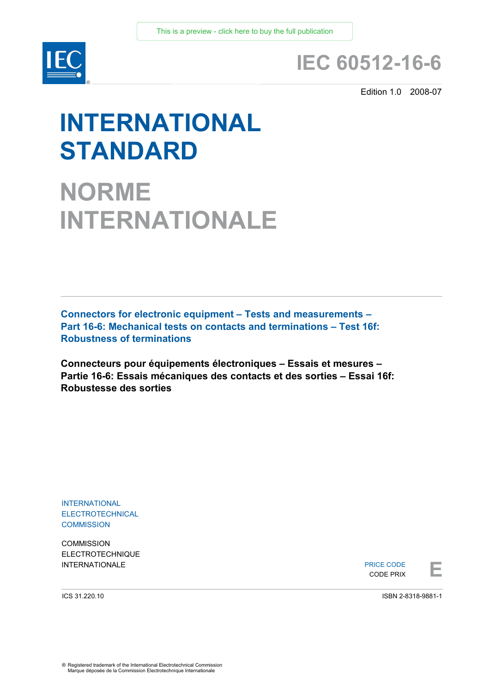

# **IEC 60512-16-6**

Edition 1.0 2008-07

# **INTERNATIONAL STANDARD**

**NORME INTERNATIONALE**

**Connectors for electronic equipment – Tests and measurements – Part 16-6: Mechanical tests on contacts and terminations – Test 16f: Robustness of terminations** 

**Connecteurs pour équipements électroniques – Essais et mesures – Partie 16-6: Essais mécaniques des contacts et des sorties – Essai 16f: Robustesse des sorties** 

INTERNATIONAL ELECTROTECHNICAL **COMMISSION** 

**COMMISSION** ELECTROTECHNIQUE

INTERNATIONALE PRICE CODE PRICE CODE PRICE CODE PRICE CODE PRICE CODE PRIX PRICE CODE CODE PRIX

ICS 31.220.10

ISBN 2-8318-9881-1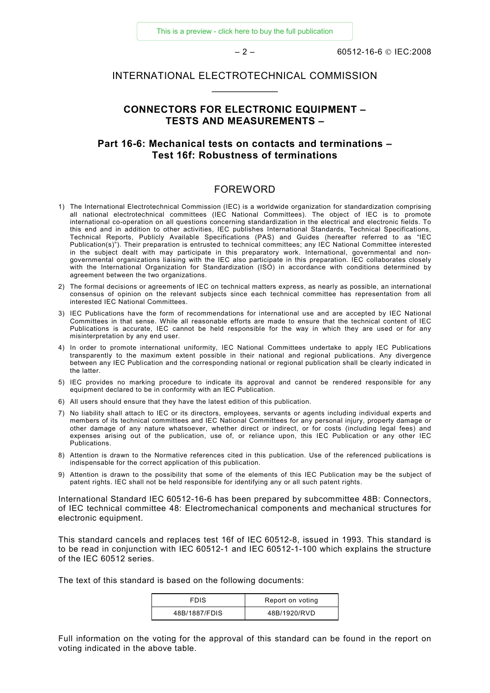[This is a preview - click here to buy the full publication](https://webstore.iec.ch/publication/2355&preview=1)

– 2 – 60512-16-6 © IEC:2008

## INTERNATIONAL ELECTROTECHNICAL COMMISSION  $\frac{1}{2}$  ,  $\frac{1}{2}$  ,  $\frac{1}{2}$  ,  $\frac{1}{2}$  ,  $\frac{1}{2}$  ,  $\frac{1}{2}$

# **CONNECTORS FOR ELECTRONIC EQUIPMENT – TESTS AND MEASUREMENTS –**

# **Part 16-6: Mechanical tests on contacts and terminations – Test 16f: Robustness of terminations**

#### FOREWORD

- 1) The International Electrotechnical Commission (IEC) is a worldwide organization for standardization comprising all national electrotechnical committees (IEC National Committees). The object of IEC is to promote international co-operation on all questions concerning standardization in the electrical and electronic fields. To this end and in addition to other activities, IEC publishes International Standards, Technical Specifications, Technical Reports, Publicly Available Specifications (PAS) and Guides (hereafter referred to as "IEC Publication(s)"). Their preparation is entrusted to technical committees; any IEC National Committee interested in the subject dealt with may participate in this preparatory work. International, governmental and nongovernmental organizations liaising with the IEC also participate in this preparation. IEC collaborates closely with the International Organization for Standardization (ISO) in accordance with conditions determined by agreement between the two organizations.
- 2) The formal decisions or agreements of IEC on technical matters express, as nearly as possible, an international consensus of opinion on the relevant subjects since each technical committee has representation from all interested IEC National Committees.
- 3) IEC Publications have the form of recommendations for international use and are accepted by IEC National Committees in that sense. While all reasonable efforts are made to ensure that the technical content of IEC Publications is accurate, IEC cannot be held responsible for the way in which they are used or for any misinterpretation by any end user.
- 4) In order to promote international uniformity, IEC National Committees undertake to apply IEC Publications transparently to the maximum extent possible in their national and regional publications. Any divergence between any IEC Publication and the corresponding national or regional publication shall be clearly indicated in the latter.
- 5) IEC provides no marking procedure to indicate its approval and cannot be rendered responsible for any equipment declared to be in conformity with an IEC Publication.
- 6) All users should ensure that they have the latest edition of this publication.
- 7) No liability shall attach to IEC or its directors, employees, servants or agents including individual experts and members of its technical committees and IEC National Committees for any personal injury, property damage or other damage of any nature whatsoever, whether direct or indirect, or for costs (including legal fees) and expenses arising out of the publication, use of, or reliance upon, this IEC Publication or any other IEC Publications.
- 8) Attention is drawn to the Normative references cited in this publication. Use of the referenced publications is indispensable for the correct application of this publication.
- 9) Attention is drawn to the possibility that some of the elements of this IEC Publication may be the subject of patent rights. IEC shall not be held responsible for identifying any or all such patent rights.

International Standard IEC 60512-16-6 has been prepared by subcommittee 48B: Connectors, of IEC technical committee 48: Electromechanical components and mechanical structures for electronic equipment.

This standard cancels and replaces test 16f of IEC 60512-8, issued in 1993. This standard is to be read in conjunction with IEC 60512-1 and IEC 60512-1-100 which explains the structure of the IEC 60512 series.

The text of this standard is based on the following documents:

| <b>FDIS</b>   | Report on voting |
|---------------|------------------|
| 48B/1887/FDIS | 48B/1920/RVD     |

Full information on the voting for the approval of this standard can be found in the report on voting indicated in the above table.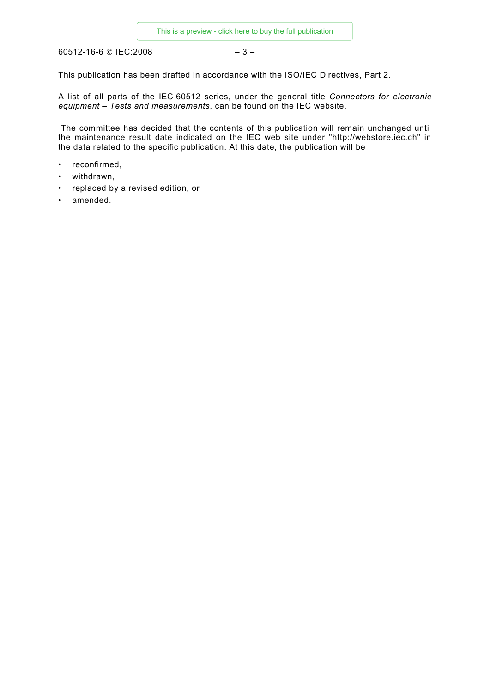60512-16-6 © IEC:2008 – 3 –

This publication has been drafted in accordance with the ISO/IEC Directives, Part 2.

A list of all parts of the IEC 60512 series, under the general title *Connectors for electronic equipment – Tests and measurements*, can be found on the IEC website.

 The committee has decided that the contents of this publication will remain unchanged until the maintenance result date indicated on the IEC web site under "http://webstore.iec.ch" in the data related to the specific publication. At this date, the publication will be

- reconfirmed,
- withdrawn,
- replaced by a revised edition, or
- amended.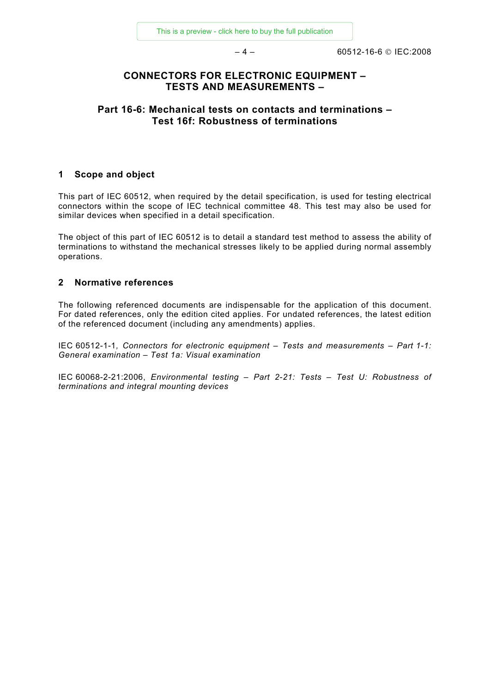# **CONNECTORS FOR ELECTRONIC EQUIPMENT – TESTS AND MEASUREMENTS –**

# **Part 16-6: Mechanical tests on contacts and terminations – Test 16f: Robustness of terminations**

#### **1 Scope and object**

This part of IEC 60512, when required by the detail specification, is used for testing electrical connectors within the scope of IEC technical committee 48. This test may also be used for similar devices when specified in a detail specification.

The object of this part of IEC 60512 is to detail a standard test method to assess the ability of terminations to withstand the mechanical stresses likely to be applied during normal assembly operations.

#### **2 Normative references**

The following referenced documents are indispensable for the application of this document. For dated references, only the edition cited applies. For undated references, the latest edition of the referenced document (including any amendments) applies.

IEC 60512-1-1*, Connectors for electronic equipment – Tests and measurements – Part 1-1: General examination – Test 1a: Visual examination*

IEC 60068-2-21:2006, *Environmental testing – Part 2-21: Tests – Test U: Robustness of terminations and integral mounting devices*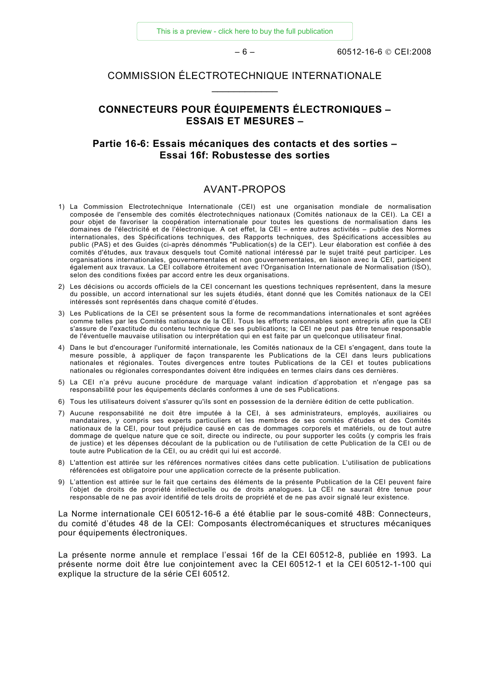# COMMISSION ÉLECTROTECHNIQUE INTERNATIONALE  $\frac{1}{2}$  ,  $\frac{1}{2}$  ,  $\frac{1}{2}$  ,  $\frac{1}{2}$  ,  $\frac{1}{2}$  ,  $\frac{1}{2}$

# **CONNECTEURS POUR ÉQUIPEMENTS ÉLECTRONIQUES – ESSAIS ET MESURES –**

## **Partie 16-6: Essais mécaniques des contacts et des sorties – Essai 16f: Robustesse des sorties**

#### AVANT-PROPOS

- 1) La Commission Electrotechnique Internationale (CEI) est une organisation mondiale de normalisation composée de l'ensemble des comités électrotechniques nationaux (Comités nationaux de la CEI). La CEI a pour objet de favoriser la coopération internationale pour toutes les questions de normalisation dans les domaines de l'électricité et de l'électronique. A cet effet, la CEI – entre autres activités – publie des Normes internationales, des Spécifications techniques, des Rapports techniques, des Spécifications accessibles au public (PAS) et des Guides (ci-après dénommés "Publication(s) de la CEI"). Leur élaboration est confiée à des comités d'études, aux travaux desquels tout Comité national intéressé par le sujet traité peut participer. Les organisations internationales, gouvernementales et non gouvernementales, en liaison avec la CEI, participent également aux travaux. La CEI collabore étroitement avec l'Organisation Internationale de Normalisation (ISO), selon des conditions fixées par accord entre les deux organisations.
- 2) Les décisions ou accords officiels de la CEI concernant les questions techniques représentent, dans la mesure du possible, un accord international sur les sujets étudiés, étant donné que les Comités nationaux de la CEI intéressés sont représentés dans chaque comité d'études.
- 3) Les Publications de la CEI se présentent sous la forme de recommandations internationales et sont agréées comme telles par les Comités nationaux de la CEI. Tous les efforts raisonnables sont entrepris afin que la CEI s'assure de l'exactitude du contenu technique de ses publications; la CEI ne peut pas être tenue responsable de l'éventuelle mauvaise utilisation ou interprétation qui en est faite par un quelconque utilisateur final.
- 4) Dans le but d'encourager l'uniformité internationale, les Comités nationaux de la CEI s'engagent, dans toute la mesure possible, à appliquer de façon transparente les Publications de la CEI dans leurs publications nationales et régionales. Toutes divergences entre toutes Publications de la CEI et toutes publications nationales ou régionales correspondantes doivent être indiquées en termes clairs dans ces dernières.
- 5) La CEI n'a prévu aucune procédure de marquage valant indication d'approbation et n'engage pas sa responsabilité pour les équipements déclarés conformes à une de ses Publications.
- 6) Tous les utilisateurs doivent s'assurer qu'ils sont en possession de la dernière édition de cette publication.
- 7) Aucune responsabilité ne doit être imputée à la CEI, à ses administrateurs, employés, auxiliaires ou mandataires, y compris ses experts particuliers et les membres de ses comités d'études et des Comités nationaux de la CEI, pour tout préjudice causé en cas de dommages corporels et matériels, ou de tout autre dommage de quelque nature que ce soit, directe ou indirecte, ou pour supporter les coûts (y compris les frais de justice) et les dépenses découlant de la publication ou de l'utilisation de cette Publication de la CEI ou de toute autre Publication de la CEI, ou au crédit qui lui est accordé.
- 8) L'attention est attirée sur les références normatives citées dans cette publication. L'utilisation de publications référencées est obligatoire pour une application correcte de la présente publication.
- 9) L'attention est attirée sur le fait que certains des éléments de la présente Publication de la CEI peuvent faire l'objet de droits de propriété intellectuelle ou de droits analogues. La CEI ne saurait être tenue pour responsable de ne pas avoir identifié de tels droits de propriété et de ne pas avoir signalé leur existence.

La Norme internationale CEI 60512-16-6 a été établie par le sous-comité 48B: Connecteurs, du comité d'études 48 de la CEI: Composants électromécaniques et structures mécaniques pour équipements électroniques.

La présente norme annule et remplace l'essai 16f de la CEI 60512-8, publiée en 1993. La présente norme doit être lue conjointement avec la CEI 60512-1 et la CEI 60512-1-100 qui explique la structure de la série CEI 60512.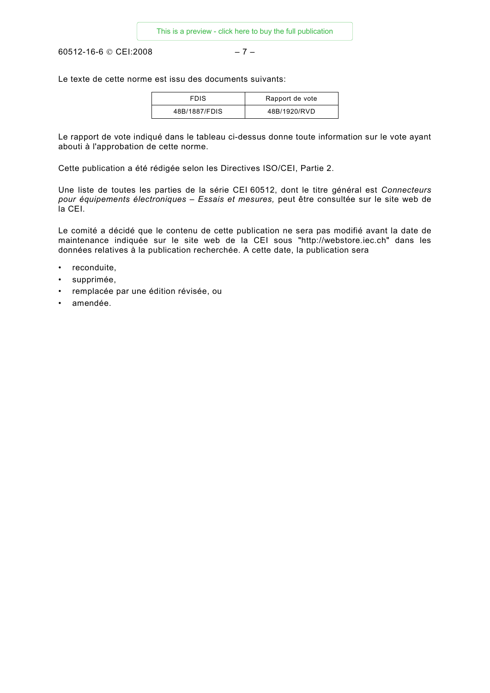60512-16-6 © CEI:2008 – 7 –

Le texte de cette norme est issu des documents suivants:

| <b>FDIS</b>   | Rapport de vote |
|---------------|-----------------|
| 48B/1887/FDIS | 48B/1920/RVD    |

Le rapport de vote indiqué dans le tableau ci-dessus donne toute information sur le vote ayant abouti à l'approbation de cette norme.

Cette publication a été rédigée selon les Directives ISO/CEI, Partie 2.

Une liste de toutes les parties de la série CEI 60512, dont le titre général est *Connecteurs pour équipements électroniques – Essais et mesures,* peut être consultée sur le site web de la CEI.

Le comité a décidé que le contenu de cette publication ne sera pas modifié avant la date de maintenance indiquée sur le site web de la CEI sous "http://webstore.iec.ch" dans les données relatives à la publication recherchée. A cette date, la publication sera

- reconduite,
- supprimée,
- remplacée par une édition révisée, ou
- amendée.